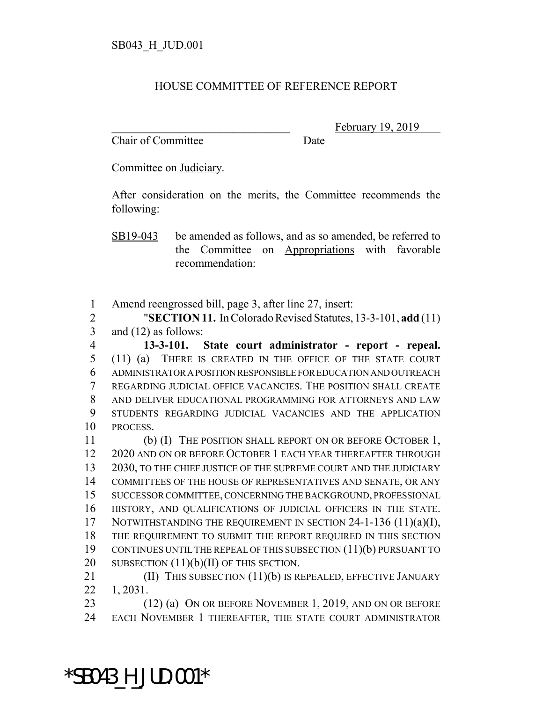## HOUSE COMMITTEE OF REFERENCE REPORT

Chair of Committee Date

February 19, 2019

Committee on Judiciary.

After consideration on the merits, the Committee recommends the following:

SB19-043 be amended as follows, and as so amended, be referred to the Committee on Appropriations with favorable recommendation:

1 Amend reengrossed bill, page 3, after line 27, insert:

2 "**SECTION 11.** In Colorado Revised Statutes, 13-3-101, **add** (11) 3 and (12) as follows:

 **13-3-101. State court administrator - report - repeal.** (11) (a) THERE IS CREATED IN THE OFFICE OF THE STATE COURT ADMINISTRATOR A POSITION RESPONSIBLE FOR EDUCATION AND OUTREACH REGARDING JUDICIAL OFFICE VACANCIES. THE POSITION SHALL CREATE AND DELIVER EDUCATIONAL PROGRAMMING FOR ATTORNEYS AND LAW STUDENTS REGARDING JUDICIAL VACANCIES AND THE APPLICATION 10 PROCESS.

 (b) (I) THE POSITION SHALL REPORT ON OR BEFORE OCTOBER 1, 12 2020 AND ON OR BEFORE OCTOBER 1 EACH YEAR THEREAFTER THROUGH 2030, TO THE CHIEF JUSTICE OF THE SUPREME COURT AND THE JUDICIARY COMMITTEES OF THE HOUSE OF REPRESENTATIVES AND SENATE, OR ANY SUCCESSOR COMMITTEE, CONCERNING THE BACKGROUND, PROFESSIONAL HISTORY, AND QUALIFICATIONS OF JUDICIAL OFFICERS IN THE STATE. 17 NOTWITHSTANDING THE REQUIREMENT IN SECTION 24-1-136 (11)(a)(I), THE REQUIREMENT TO SUBMIT THE REPORT REQUIRED IN THIS SECTION CONTINUES UNTIL THE REPEAL OF THIS SUBSECTION (11)(b) PURSUANT TO 20 SUBSECTION  $(11)(b)(II)$  OF THIS SECTION.

21 **(II)** THIS SUBSECTION (11)(b) IS REPEALED, EFFECTIVE JANUARY 22 1, 2031.

23 (12) (a) ON OR BEFORE NOVEMBER 1, 2019, AND ON OR BEFORE 24 EACH NOVEMBER 1 THEREAFTER, THE STATE COURT ADMINISTRATOR

\*SB043\_H\_JUD.001\*